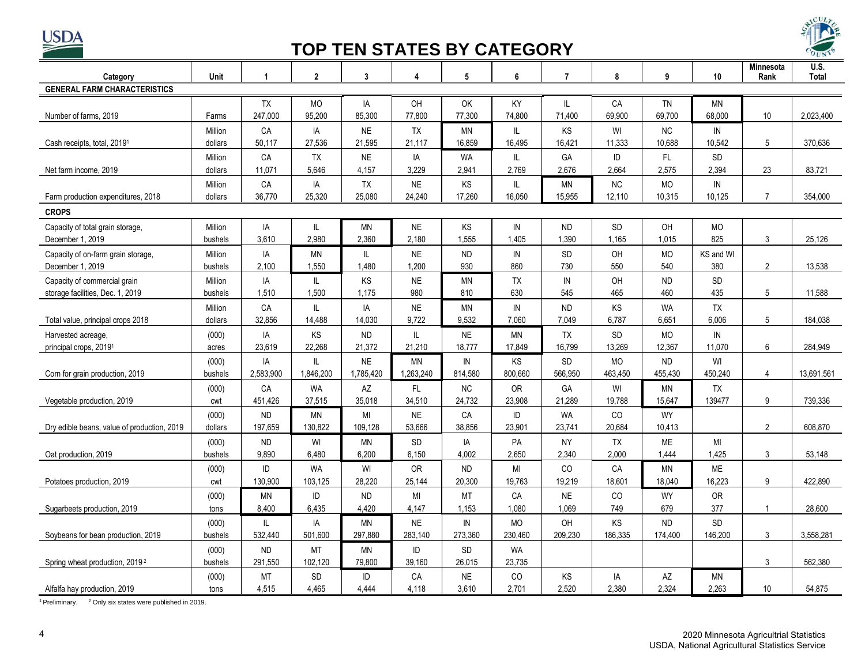

## **TOP TEN STATES BY CATEGORY**



| Category                                                         | Unit               | 1            | $\overline{2}$ | 3            | 4                  | 5                  | 6                | $\overline{7}$     | 8         | 9                  | 10                 | Minnesota<br>Rank | U.S.<br><b>Total</b> |
|------------------------------------------------------------------|--------------------|--------------|----------------|--------------|--------------------|--------------------|------------------|--------------------|-----------|--------------------|--------------------|-------------------|----------------------|
| <b>GENERAL FARM CHARACTERISTICS</b>                              |                    |              |                |              |                    |                    |                  |                    |           |                    |                    |                   |                      |
|                                                                  |                    | TX           | <b>MO</b>      | IA           | OH                 | OK                 | KY               | IL.                | CA        | TN                 | ΜN                 |                   |                      |
| Number of farms, 2019                                            | Farms              | 247,000      | 95,200         | 85,300       | 77,800             | 77,300             | 74,800           | 71.400             | 69,900    | 69,700             | 68.000             | 10                | 2,023,400            |
|                                                                  | Million            | CA           | IA             | <b>NE</b>    | <b>TX</b>          | <b>MN</b>          | IL               | <b>KS</b>          | WI        | <b>NC</b>          | IN                 |                   |                      |
| Cash receipts, total, 2019 <sup>1</sup>                          | dollars            | 50,117       | 27,536         | 21,595       | 21,117             | 16,859             | 16,495           | 16,421             | 11,333    | 10,688             | 10,542             | 5                 | 370,636              |
|                                                                  | Million            | CA           | <b>TX</b>      | <b>NE</b>    | IA                 | <b>WA</b>          | IL               | GA                 | ID        | FL.                | <b>SD</b>          |                   |                      |
| Net farm income, 2019                                            | dollars            | 11,071       | 5,646          | 4,157        | 3.229              | 2,941              | 2,769            | 2.676              | 2,664     | 2,575              | 2,394              | 23                | 83,721               |
|                                                                  | Million            | CA           | IA             | TX           | <b>NE</b>          | KS                 | IL               | ΜN                 | <b>NC</b> | MO                 | ${\sf IN}$         |                   |                      |
| Farm production expenditures, 2018                               | dollars            | 36,770       | 25,320         | 25,080       | 24,240             | 17,260             | 16,050           | 15,955             | 12,110    | 10,315             | 10,125             | $\overline{7}$    | 354,000              |
| <b>CROPS</b>                                                     |                    |              |                |              |                    |                    |                  |                    |           |                    |                    |                   |                      |
|                                                                  | Million            | IA           |                | ΜN           | <b>NE</b>          | KS                 | IN               | ND.                | <b>SD</b> | OH                 | <b>MO</b>          |                   |                      |
| Capacity of total grain storage,<br>December 1, 2019             | bushels            | 3.610        | IL<br>2.980    | 2,360        | 2.180              | 1,555              | 1,405            | 1.390              | 1,165     | 1,015              | 825                | 3                 | 25.126               |
|                                                                  | Million            | IA           | <b>MN</b>      | IL.          | <b>NE</b>          | <b>ND</b>          | IN               | <b>SD</b>          | OH        | <b>MO</b>          | KS and WI          |                   |                      |
| Capacity of on-farm grain storage,<br>December 1, 2019           | bushels            | 2,100        | 1,550          | 1,480        | 1,200              | 930                | 860              | 730                | 550       | 540                | 380                | $\overline{2}$    | 13,538               |
|                                                                  |                    |              |                | KS           |                    |                    |                  |                    |           |                    | <b>SD</b>          |                   |                      |
| Capacity of commercial grain<br>storage facilities, Dec. 1, 2019 | Million<br>bushels | IA<br>1,510  | IL<br>1,500    | 1,175        | <b>NE</b><br>980   | <b>MN</b><br>810   | <b>TX</b><br>630 | IN<br>545          | OH<br>465 | <b>ND</b><br>460   | 435                | 5                 | 11,588               |
|                                                                  |                    |              |                |              |                    |                    |                  |                    | KS        |                    |                    |                   |                      |
|                                                                  | Million<br>dollars | CA<br>32,856 | IL<br>14,488   | IA<br>14,030 | <b>NE</b><br>9,722 | <b>MN</b><br>9,532 | IN<br>7,060      | <b>ND</b><br>7,049 | 6,787     | <b>WA</b><br>6,651 | <b>TX</b><br>6,006 | 5                 | 184,038              |
| Total value, principal crops 2018                                |                    |              |                |              |                    |                    |                  |                    |           |                    |                    |                   |                      |
| Harvested acreage,                                               | (000)              | IA           | KS             | <b>ND</b>    | IL                 | <b>NE</b>          | <b>MN</b>        | <b>TX</b>          | <b>SD</b> | <b>MO</b>          | ${\sf IN}$         |                   |                      |
| principal crops, 2019 <sup>1</sup>                               | acres              | 23,619       | 22.268         | 21,372       | 21,210             | 18,777             | 17,849           | 16,799             | 13,269    | 12,367             | 11,070             | 6                 | 284,949              |
|                                                                  | (000)              | IA           | IL             | <b>NE</b>    | <b>MN</b>          | IN                 | KS               | <b>SD</b>          | <b>MO</b> | <b>ND</b>          | WI                 |                   |                      |
| Com for grain production, 2019                                   | bushels            | 2,583,900    | 1,846,200      | 1,785,420    | 1,263,240          | 814,580            | 800,660          | 566,950            | 463,450   | 455,430            | 450,240            | $\overline{4}$    | 13,691,561           |
|                                                                  | (000)              | CA           | <b>WA</b>      | AZ           | FL.                | <b>NC</b>          | <b>OR</b>        | GA                 | WI        | <b>MN</b>          | <b>TX</b>          |                   |                      |
| Vegetable production, 2019                                       | cwt                | 451,426      | 37,515         | 35,018       | 34,510             | 24,732             | 23,908           | 21,289             | 19,788    | 15,647             | 139477             | 9                 | 739,336              |
|                                                                  | (000)              | <b>ND</b>    | <b>MN</b>      | MI           | <b>NE</b>          | CA                 | ID               | <b>WA</b>          | CO        | <b>WY</b>          |                    |                   |                      |
| Dry edible beans, value of production, 2019                      | dollars            | 197,659      | 130,822        | 109,128      | 53,666             | 38,856             | 23,901           | 23,741             | 20,684    | 10,413             |                    | $\overline{2}$    | 608.870              |
|                                                                  | (000)              | <b>ND</b>    | WI             | MN           | SD                 | IA                 | PA               | <b>NY</b>          | <b>TX</b> | <b>ME</b>          | MI                 |                   |                      |
| Oat production, 2019                                             | bushels            | 9,890        | 6,480          | 6,200        | 6.150              | 4,002              | 2,650            | 2,340              | 2,000     | 1,444              | 1,425              | 3                 | 53,148               |
|                                                                  | (000)              | ID           | <b>WA</b>      | WI           | OR                 | <b>ND</b>          | MI               | CO                 | CA        | MN                 | <b>ME</b>          |                   |                      |
| Potatoes production, 2019                                        | cwt                | 130,900      | 103,125        | 28,220       | 25.144             | 20,300             | 19.763           | 19,219             | 18.601    | 18,040             | 16,223             | 9                 | 422.890              |
|                                                                  | (000)              | <b>MN</b>    | ID             | <b>ND</b>    | MI                 | MT                 | ${\sf CA}$       | <b>NE</b>          | CO        | <b>WY</b>          | <b>OR</b>          |                   |                      |
| Sugarbeets production, 2019                                      | tons               | 8,400        | 6,435          | 4,420        | 4.147              | 1,153              | 1,080            | 1,069              | 749       | 679                | 377                | -1                | 28,600               |
|                                                                  | (000)              | IL.          | IA             | <b>MN</b>    | <b>NE</b>          | IN                 | <b>MO</b>        | OH                 | KS        | ${\sf ND}$         | <b>SD</b>          |                   |                      |
| Soybeans for bean production, 2019                               | bushels            | 532.440      | 501,600        | 297,880      | 283.140            | 273,360            | 230,460          | 209,230            | 186,335   | 174,400            | 146,200            | $\mathbf{3}$      | 3,558,281            |
|                                                                  | (000)              | ND           | <b>MT</b>      | <b>MN</b>    | ID                 | SD                 | <b>WA</b>        |                    |           |                    |                    |                   |                      |
| Spring wheat production, 2019 <sup>2</sup>                       | bushels            | 291,550      | 102,120        | 79,800       | 39,160             | 26,015             | 23,735           |                    |           |                    |                    | 3                 | 562,380              |
|                                                                  | (000)              | <b>MT</b>    | <b>SD</b>      | ID           | CA                 | <b>NE</b>          | CO.              | KS                 | IA        | AZ                 | ΜN                 |                   |                      |
| Alfalfa hay production, 2019                                     | tons               | 4,515        | 4,465          | 4.444        | 4,118              | 3,610              | 2,701            | 2,520              | 2,380     | 2,324              | 2,263              | 10                | 54,875               |

<sup>1</sup> Preliminary.  $^2$  Only six states were published in 2019.